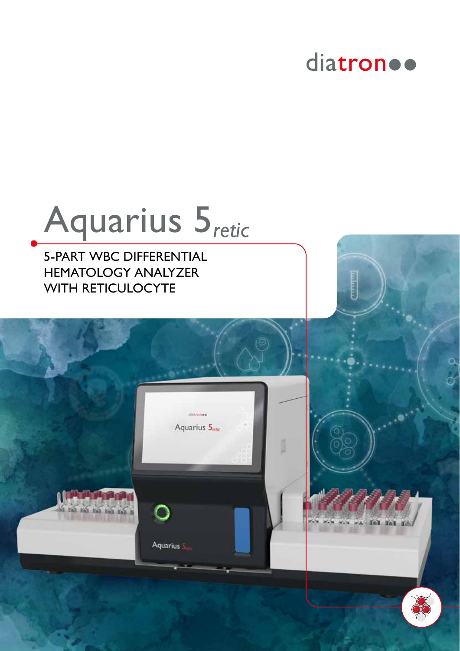## diatron ..

i bilial

fel fel

# Aquarius 5*retic*

distrone Aquarius 5<sub>retic</sub>

Aquarius 5

5-PART WBC DIFFERENTIAL HEMATOLOGY ANALYZER WITH RETICULOCYTE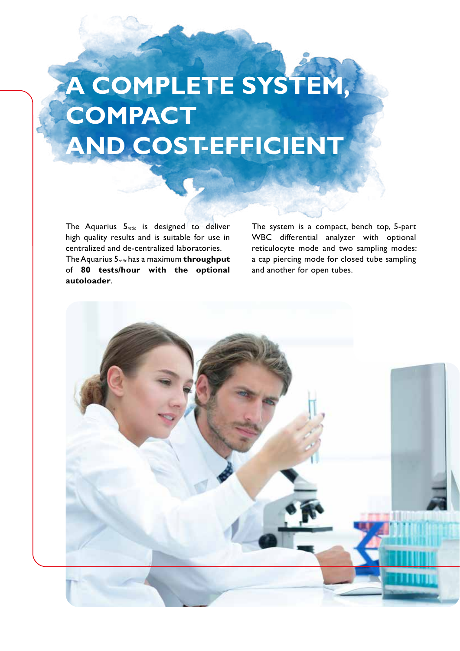## **A COMPLETE SYSTEM, COMPACT AND COST-EFFICIENT**

The Aquarius 5*retic* is designed to deliver high quality results and is suitable for use in centralized and de-centralized laboratories. The Aquarius 5*retic* has a maximum **throughput** of **80 tests/hour with the optional autoloader**.

The system is a compact, bench top, 5-part WBC differential analyzer with optional reticulocyte mode and two sampling modes: a cap piercing mode for closed tube sampling and another for open tubes.

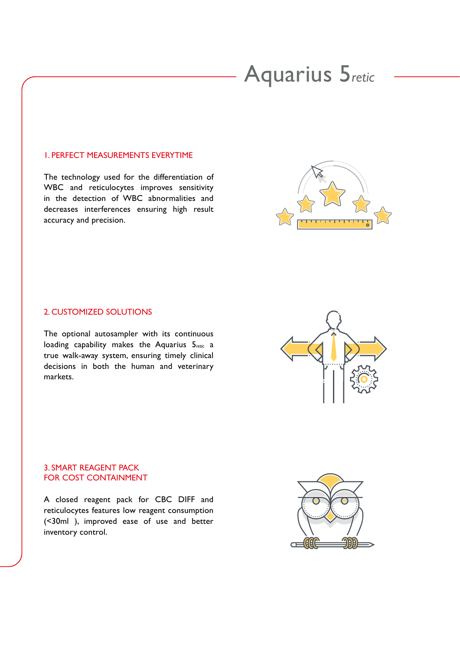## Aquarius 5*retic*

#### 1. PERFECT MEASUREMENTS EVERYTIME

The technology used for the differentiation of WBC and reticulocytes improves sensitivity in the detection of WBC abnormalities and decreases interferences ensuring high result accuracy and precision.



#### 2. CUSTOMIZED SOLUTIONS

The optional autosampler with its continuous loading capability makes the Aquarius 5*retic* a true walk-away system, ensuring timely clinical decisions in both the human and veterinary markets.

#### 3. SMART REAGENT PACK FOR COST CONTAINMENT

A closed reagent pack for CBC DIFF and reticulocytes features low reagent consumption (<30ml ), improved ease of use and better inventory control.